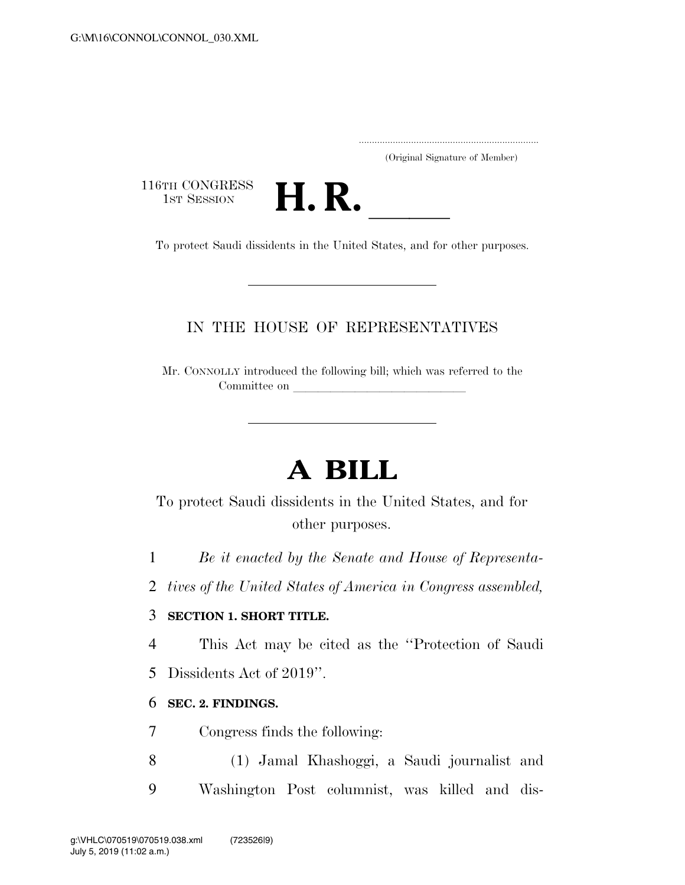.....................................................................

(Original Signature of Member)

116TH CONGRESS<br>1st Session



THE CONGRESS<br>
1ST SESSION<br>
To protect Saudi dissidents in the United States, and for other purposes.

### IN THE HOUSE OF REPRESENTATIVES

Mr. CONNOLLY introduced the following bill; which was referred to the Committee on

# **A BILL**

To protect Saudi dissidents in the United States, and for other purposes.

1 *Be it enacted by the Senate and House of Representa-*

2 *tives of the United States of America in Congress assembled,* 

### 3 **SECTION 1. SHORT TITLE.**

4 This Act may be cited as the ''Protection of Saudi 5 Dissidents Act of 2019''.

#### 6 **SEC. 2. FINDINGS.**

7 Congress finds the following:

8 (1) Jamal Khashoggi, a Saudi journalist and 9 Washington Post columnist, was killed and dis-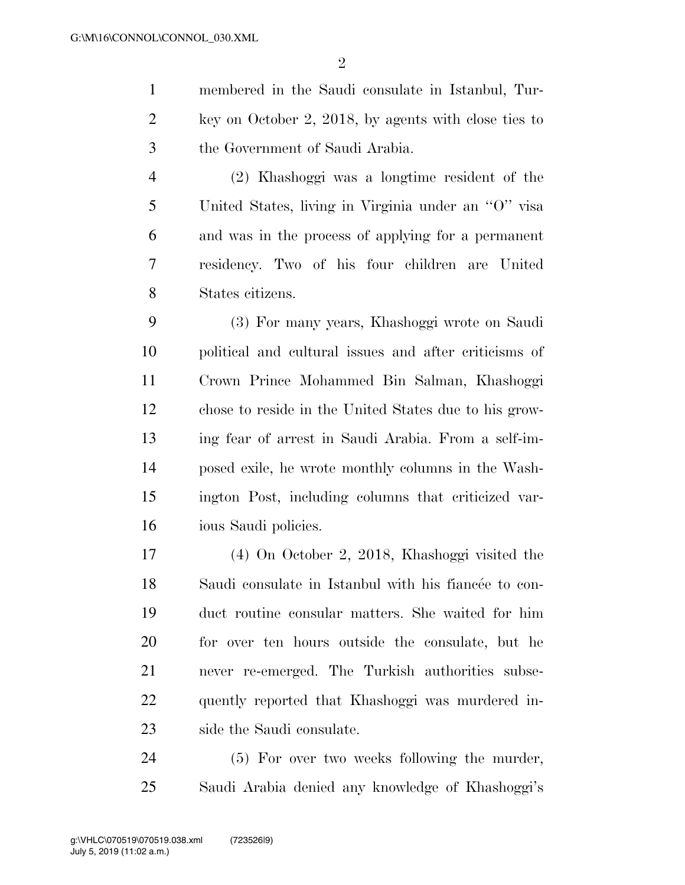membered in the Saudi consulate in Istanbul, Tur- key on October 2, 2018, by agents with close ties to the Government of Saudi Arabia.

 (2) Khashoggi was a longtime resident of the United States, living in Virginia under an ''O'' visa and was in the process of applying for a permanent residency. Two of his four children are United States citizens.

 (3) For many years, Khashoggi wrote on Saudi political and cultural issues and after criticisms of Crown Prince Mohammed Bin Salman, Khashoggi chose to reside in the United States due to his grow- ing fear of arrest in Saudi Arabia. From a self-im- posed exile, he wrote monthly columns in the Wash- ington Post, including columns that criticized var-ious Saudi policies.

 (4) On October 2, 2018, Khashoggi visited the 18 Saudi consulate in Istanbul with his fiancée to con- duct routine consular matters. She waited for him for over ten hours outside the consulate, but he never re-emerged. The Turkish authorities subse- quently reported that Khashoggi was murdered in-side the Saudi consulate.

 (5) For over two weeks following the murder, Saudi Arabia denied any knowledge of Khashoggi's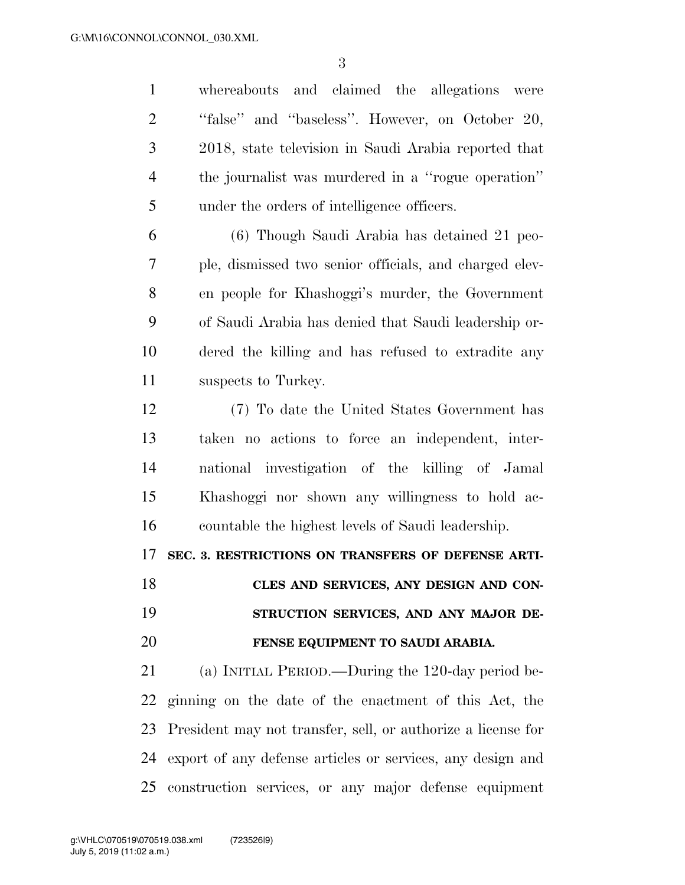whereabouts and claimed the allegations were ''false'' and ''baseless''. However, on October 20, 2018, state television in Saudi Arabia reported that the journalist was murdered in a ''rogue operation'' under the orders of intelligence officers.

 (6) Though Saudi Arabia has detained 21 peo- ple, dismissed two senior officials, and charged elev- en people for Khashoggi's murder, the Government of Saudi Arabia has denied that Saudi leadership or- dered the killing and has refused to extradite any suspects to Turkey.

 (7) To date the United States Government has taken no actions to force an independent, inter- national investigation of the killing of Jamal Khashoggi nor shown any willingness to hold ac-countable the highest levels of Saudi leadership.

**SEC. 3. RESTRICTIONS ON TRANSFERS OF DEFENSE ARTI-**

## **CLES AND SERVICES, ANY DESIGN AND CON- STRUCTION SERVICES, AND ANY MAJOR DE-FENSE EQUIPMENT TO SAUDI ARABIA.**

 (a) INITIAL PERIOD.—During the 120-day period be- ginning on the date of the enactment of this Act, the President may not transfer, sell, or authorize a license for export of any defense articles or services, any design and construction services, or any major defense equipment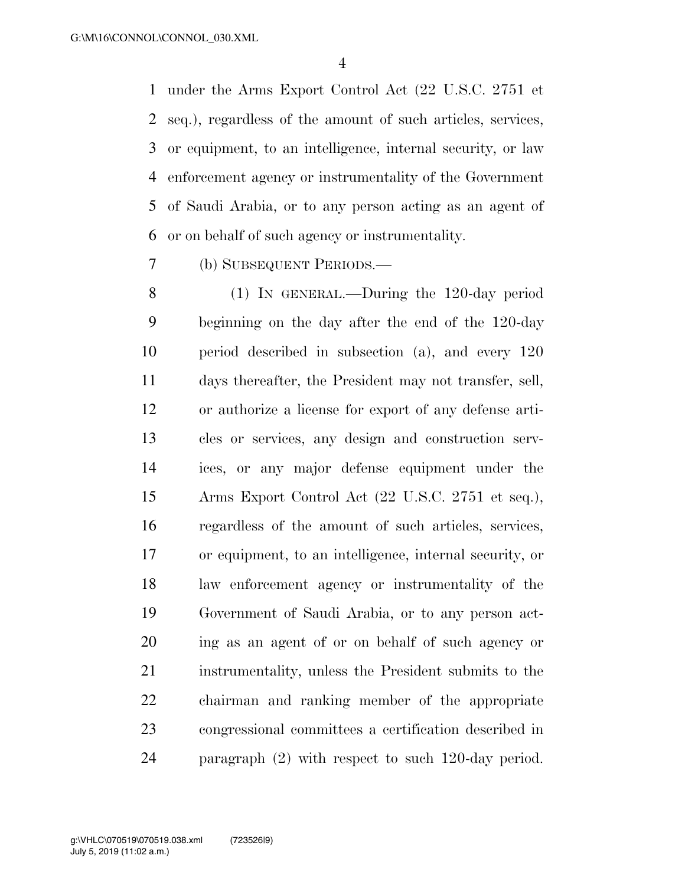under the Arms Export Control Act (22 U.S.C. 2751 et seq.), regardless of the amount of such articles, services, or equipment, to an intelligence, internal security, or law enforcement agency or instrumentality of the Government of Saudi Arabia, or to any person acting as an agent of or on behalf of such agency or instrumentality.

(b) SUBSEQUENT PERIODS.—

 (1) IN GENERAL.—During the 120-day period beginning on the day after the end of the 120-day period described in subsection (a), and every 120 days thereafter, the President may not transfer, sell, or authorize a license for export of any defense arti- cles or services, any design and construction serv- ices, or any major defense equipment under the Arms Export Control Act (22 U.S.C. 2751 et seq.), regardless of the amount of such articles, services, or equipment, to an intelligence, internal security, or law enforcement agency or instrumentality of the Government of Saudi Arabia, or to any person act- ing as an agent of or on behalf of such agency or instrumentality, unless the President submits to the chairman and ranking member of the appropriate congressional committees a certification described in paragraph (2) with respect to such 120-day period.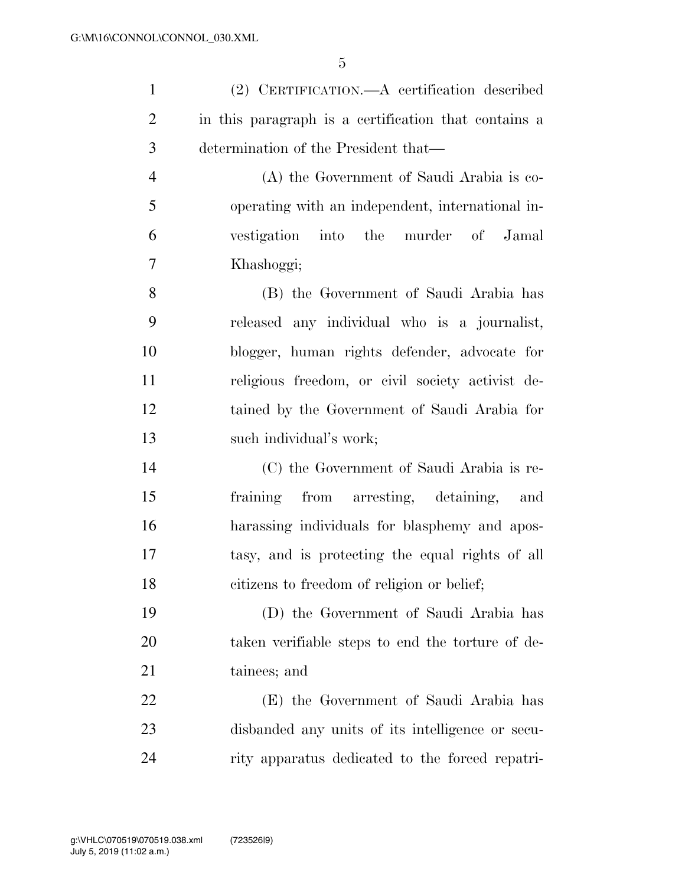(2) CERTIFICATION.—A certification described in this paragraph is a certification that contains a determination of the President that— (A) the Government of Saudi Arabia is co-

 operating with an independent, international in- vestigation into the murder of Jamal Khashoggi;

 (B) the Government of Saudi Arabia has released any individual who is a journalist, blogger, human rights defender, advocate for religious freedom, or civil society activist de- tained by the Government of Saudi Arabia for such individual's work;

 (C) the Government of Saudi Arabia is re- fraining from arresting, detaining, and harassing individuals for blasphemy and apos- tasy, and is protecting the equal rights of all citizens to freedom of religion or belief;

 (D) the Government of Saudi Arabia has taken verifiable steps to end the torture of de-tainees; and

 (E) the Government of Saudi Arabia has disbanded any units of its intelligence or secu-rity apparatus dedicated to the forced repatri-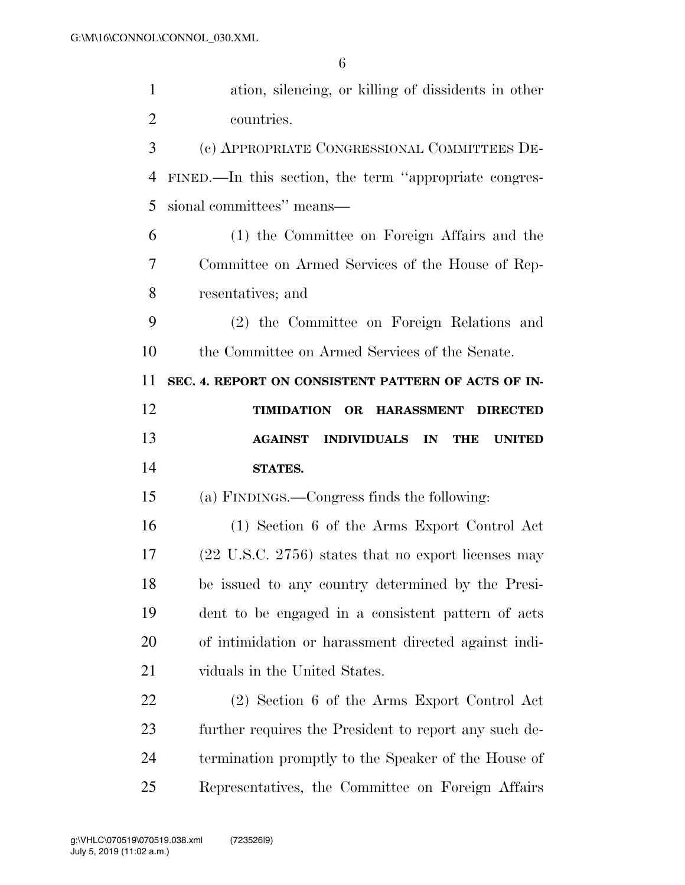| $\mathbf{1}$   | ation, silencing, or killing of dissidents in other             |
|----------------|-----------------------------------------------------------------|
| $\overline{2}$ | countries.                                                      |
| 3              | (c) APPROPRIATE CONGRESSIONAL COMMITTEES DE-                    |
| $\overline{4}$ | FINED.—In this section, the term "appropriate congres-          |
| 5              | sional committees" means—                                       |
| 6              | (1) the Committee on Foreign Affairs and the                    |
| 7              | Committee on Armed Services of the House of Rep-                |
| 8              | resentatives; and                                               |
| 9              | (2) the Committee on Foreign Relations and                      |
| 10             | the Committee on Armed Services of the Senate.                  |
| 11             | SEC. 4. REPORT ON CONSISTENT PATTERN OF ACTS OF IN-             |
| 12             | TIMIDATION OR HARASSMENT<br><b>DIRECTED</b>                     |
|                |                                                                 |
| 13             | INDIVIDUALS IN<br><b>AGAINST</b><br><b>THE</b><br><b>UNITED</b> |
| 14             | <b>STATES.</b>                                                  |
| 15             | (a) FINDINGS.—Congress finds the following:                     |
| 16             | (1) Section 6 of the Arms Export Control Act                    |
| 17             | $(22 \text{ U.S.C. } 2756)$ states that no export licenses may  |
| 18             | be issued to any country determined by the Presi-               |
| 19             | dent to be engaged in a consistent pattern of acts              |
| 20             | of intimidation or harassment directed against indi-            |
| 21             | viduals in the United States.                                   |
| 22             | (2) Section 6 of the Arms Export Control Act                    |
| 23             | further requires the President to report any such de-           |
| 24             | termination promptly to the Speaker of the House of             |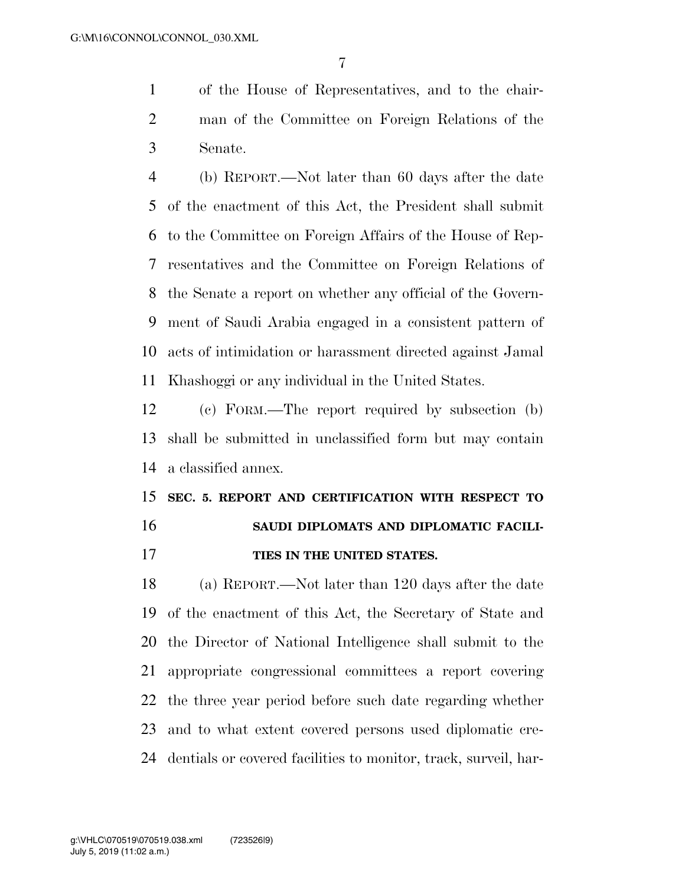of the House of Representatives, and to the chair- man of the Committee on Foreign Relations of the Senate.

 (b) REPORT.—Not later than 60 days after the date of the enactment of this Act, the President shall submit to the Committee on Foreign Affairs of the House of Rep- resentatives and the Committee on Foreign Relations of the Senate a report on whether any official of the Govern- ment of Saudi Arabia engaged in a consistent pattern of acts of intimidation or harassment directed against Jamal Khashoggi or any individual in the United States.

 (c) FORM.—The report required by subsection (b) shall be submitted in unclassified form but may contain a classified annex.

# **SEC. 5. REPORT AND CERTIFICATION WITH RESPECT TO SAUDI DIPLOMATS AND DIPLOMATIC FACILI-**

**TIES IN THE UNITED STATES.** 

 (a) REPORT.—Not later than 120 days after the date of the enactment of this Act, the Secretary of State and the Director of National Intelligence shall submit to the appropriate congressional committees a report covering the three year period before such date regarding whether and to what extent covered persons used diplomatic cre-dentials or covered facilities to monitor, track, surveil, har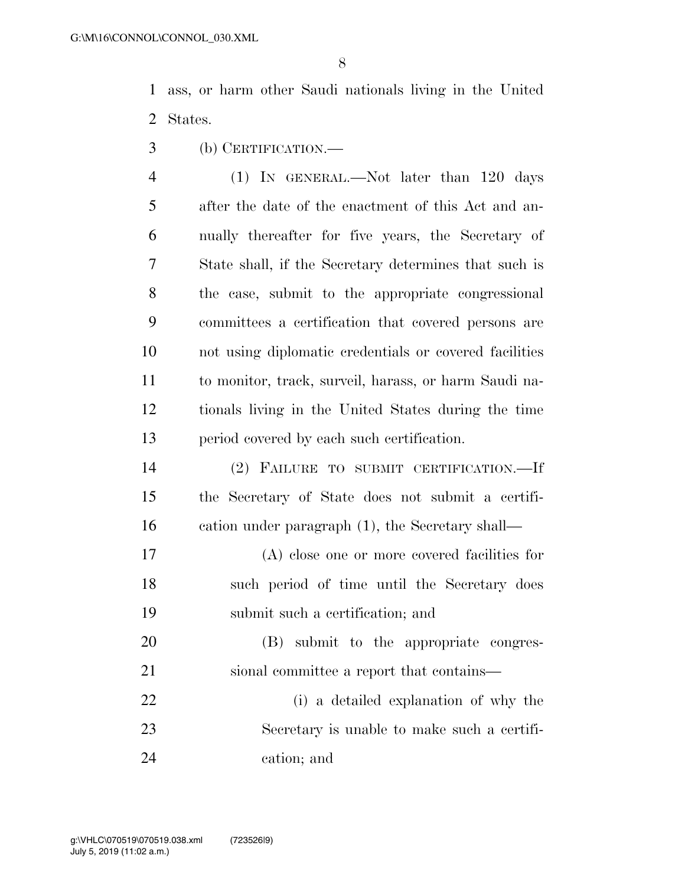ass, or harm other Saudi nationals living in the United States.

(b) CERTIFICATION.—

 (1) IN GENERAL.—Not later than 120 days after the date of the enactment of this Act and an- nually thereafter for five years, the Secretary of State shall, if the Secretary determines that such is the case, submit to the appropriate congressional committees a certification that covered persons are not using diplomatic credentials or covered facilities to monitor, track, surveil, harass, or harm Saudi na- tionals living in the United States during the time period covered by each such certification.

- (2) FAILURE TO SUBMIT CERTIFICATION.—If the Secretary of State does not submit a certifi-cation under paragraph (1), the Secretary shall—
- (A) close one or more covered facilities for such period of time until the Secretary does submit such a certification; and
- (B) submit to the appropriate congres-sional committee a report that contains—
- (i) a detailed explanation of why the Secretary is unable to make such a certifi-cation; and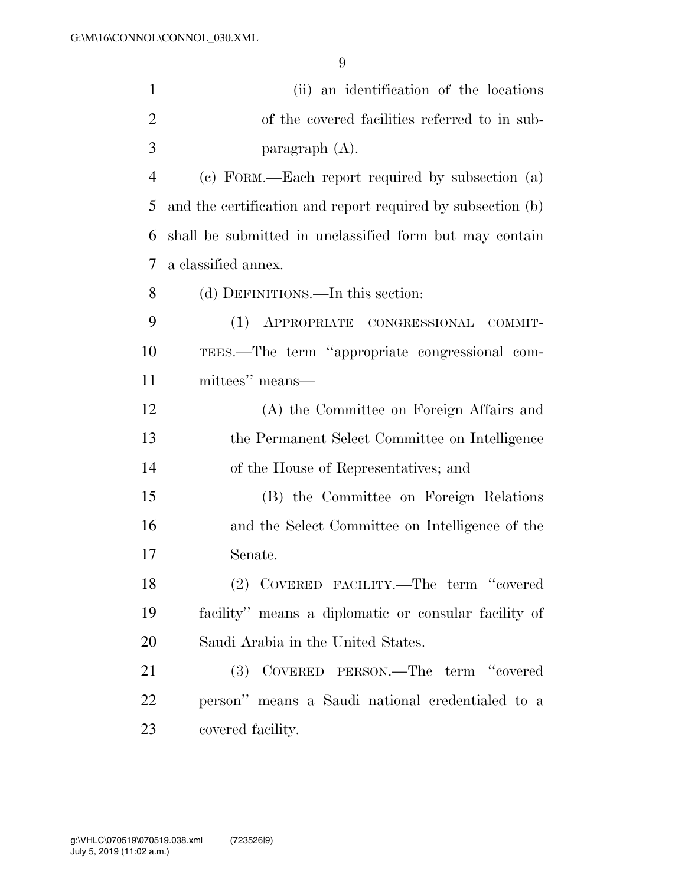| $\mathbf{1}$             | (ii) an identification of the locations                     |
|--------------------------|-------------------------------------------------------------|
| 2                        | of the covered facilities referred to in sub-               |
| 3                        | paragraph (A).                                              |
| $\overline{4}$           | (c) FORM.—Each report required by subsection (a)            |
| 5                        | and the certification and report required by subsection (b) |
| 6                        | shall be submitted in unclassified form but may contain     |
| $\overline{\mathcal{L}}$ | a classified annex.                                         |
| 8                        | (d) DEFINITIONS.—In this section:                           |
| 9                        | (1) APPROPRIATE CONGRESSIONAL<br>COMMIT-                    |
| 10                       | TEES.—The term "appropriate congressional com-              |
| 11                       | mittees" means—                                             |
| 12                       | (A) the Committee on Foreign Affairs and                    |
| 13                       | the Permanent Select Committee on Intelligence              |
| 14                       | of the House of Representatives; and                        |
| 15                       | (B) the Committee on Foreign Relations                      |
| 16                       | and the Select Committee on Intelligence of the             |
| 17                       | Senate.                                                     |
| 18                       | (2) COVERED FACILITY.—The term "covered                     |
| 19                       | facility" means a diplomatic or consular facility of        |
| 20                       | Saudi Arabia in the United States.                          |
| 21                       | (3) COVERED PERSON.—The term "covered                       |
| 22                       | person" means a Saudi national credentialed to a            |
| 23                       | covered facility.                                           |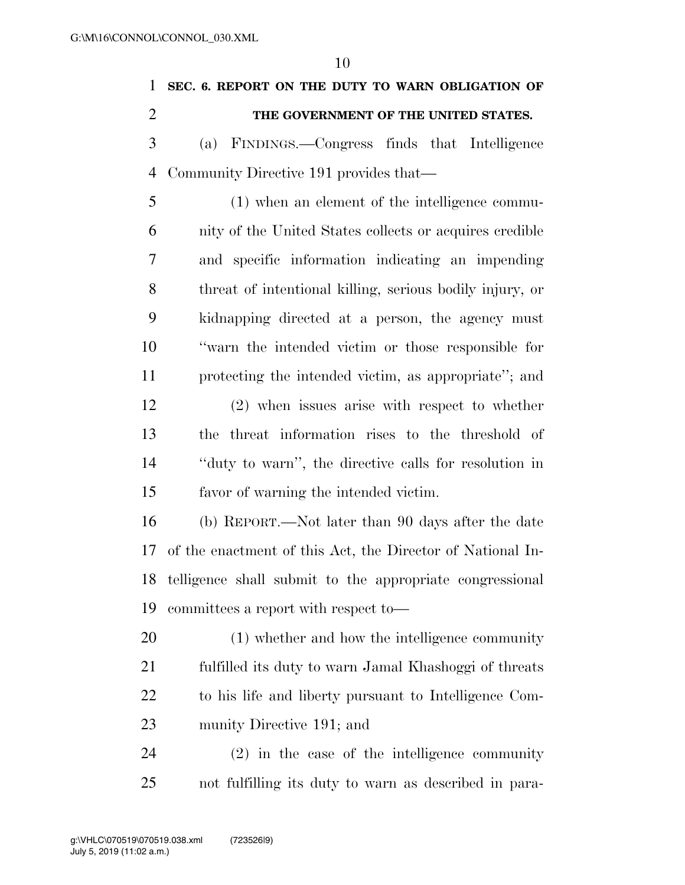| 1              | SEC. 6. REPORT ON THE DUTY TO WARN OBLIGATION OF           |
|----------------|------------------------------------------------------------|
| $\overline{2}$ | THE GOVERNMENT OF THE UNITED STATES.                       |
| 3              | (a) FINDINGS.—Congress finds that Intelligence             |
| $\overline{4}$ | Community Directive 191 provides that—                     |
| 5              | (1) when an element of the intelligence commu-             |
| 6              | nity of the United States collects or acquires credible    |
| 7              | and specific information indicating an impending           |
| 8              | threat of intentional killing, serious bodily injury, or   |
| 9              | kidnapping directed at a person, the agency must           |
| 10             | "warn the intended victim or those responsible for         |
| 11             | protecting the intended victim, as appropriate"; and       |
| 12             | $(2)$ when issues arise with respect to whether            |
| 13             | threat information rises to the threshold of<br>the        |
| 14             | "duty to warn", the directive calls for resolution in      |
| 15             | favor of warning the intended victim.                      |
| 16             | (b) REPORT.—Not later than 90 days after the date          |
| 17             | of the enactment of this Act, the Director of National In- |
| 18             | telligence shall submit to the appropriate congressional   |
| 19             | committees a report with respect to-                       |
| 20             | (1) whether and how the intelligence community             |
| 21             | fulfilled its duty to warn Jamal Khashoggi of threats      |
| 22             | to his life and liberty pursuant to Intelligence Com-      |
| 23             | munity Directive 191; and                                  |
| 24             | $(2)$ in the case of the intelligence community            |
| 25             | not fulfilling its duty to warn as described in para-      |